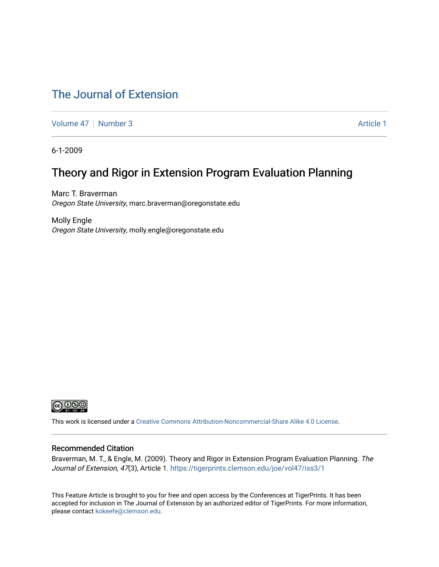## [The Journal of Extension](https://tigerprints.clemson.edu/joe)

[Volume 47](https://tigerprints.clemson.edu/joe/vol47) | [Number 3](https://tigerprints.clemson.edu/joe/vol47/iss3) Article 1

6-1-2009

### Theory and Rigor in Extension Program Evaluation Planning

Marc T. Braverman Oregon State University, marc.braverman@oregonstate.edu

Molly Engle Oregon State University, molly.engle@oregonstate.edu



This work is licensed under a [Creative Commons Attribution-Noncommercial-Share Alike 4.0 License.](https://creativecommons.org/licenses/by-nc-sa/4.0/)

#### Recommended Citation

Braverman, M. T., & Engle, M. (2009). Theory and Rigor in Extension Program Evaluation Planning. The Journal of Extension, 47(3), Article 1. <https://tigerprints.clemson.edu/joe/vol47/iss3/1>

This Feature Article is brought to you for free and open access by the Conferences at TigerPrints. It has been accepted for inclusion in The Journal of Extension by an authorized editor of TigerPrints. For more information, please contact [kokeefe@clemson.edu](mailto:kokeefe@clemson.edu).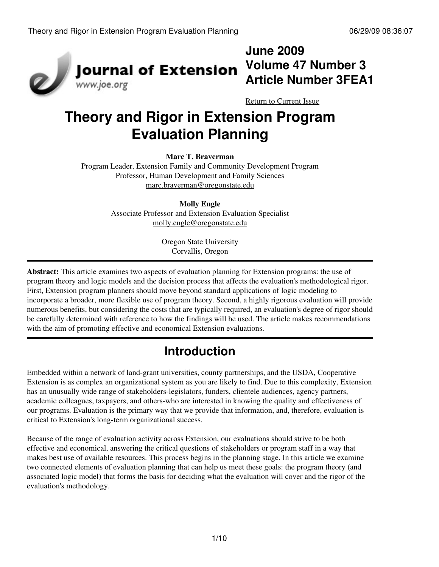

## **June 2009 Volume 47 Number 3 Article Number 3FEA1**

[Return to Current Issue](http://www.joe.org:80/joe/2009june/)

# **Theory and Rigor in Extension Program Evaluation Planning**

#### **Marc T. Braverman**

Program Leader, Extension Family and Community Development Program Professor, Human Development and Family Sciences [marc.braverman@oregonstate.edu](mailto:marc.braverman@oregonstate.edu)

> **Molly Engle** Associate Professor and Extension Evaluation Specialist [molly.engle@oregonstate.edu](mailto:molly.engle@oregonstate.edu)

> > Oregon State University Corvallis, Oregon

**Abstract:** This article examines two aspects of evaluation planning for Extension programs: the use of program theory and logic models and the decision process that affects the evaluation's methodological rigor. First, Extension program planners should move beyond standard applications of logic modeling to incorporate a broader, more flexible use of program theory. Second, a highly rigorous evaluation will provide numerous benefits, but considering the costs that are typically required, an evaluation's degree of rigor should be carefully determined with reference to how the findings will be used. The article makes recommendations with the aim of promoting effective and economical Extension evaluations.

# **Introduction**

Embedded within a network of land-grant universities, county partnerships, and the USDA, Cooperative Extension is as complex an organizational system as you are likely to find. Due to this complexity, Extension has an unusually wide range of stakeholders-legislators, funders, clientele audiences, agency partners, academic colleagues, taxpayers, and others-who are interested in knowing the quality and effectiveness of our programs. Evaluation is the primary way that we provide that information, and, therefore, evaluation is critical to Extension's long-term organizational success.

Because of the range of evaluation activity across Extension, our evaluations should strive to be both effective and economical, answering the critical questions of stakeholders or program staff in a way that makes best use of available resources. This process begins in the planning stage. In this article we examine two connected elements of evaluation planning that can help us meet these goals: the program theory (and associated logic model) that forms the basis for deciding what the evaluation will cover and the rigor of the evaluation's methodology.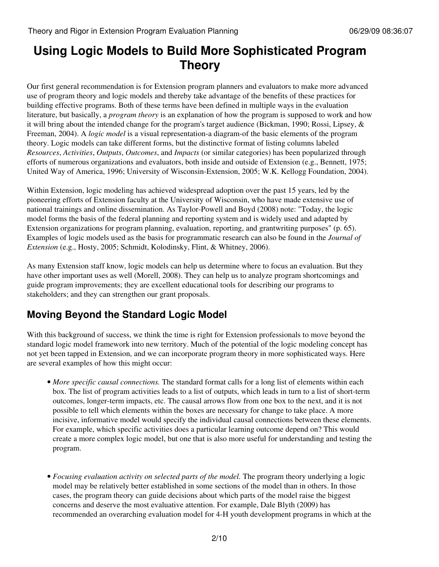## **Using Logic Models to Build More Sophisticated Program Theory**

Our first general recommendation is for Extension program planners and evaluators to make more advanced use of program theory and logic models and thereby take advantage of the benefits of these practices for building effective programs. Both of these terms have been defined in multiple ways in the evaluation literature, but basically, a *program theory* is an explanation of how the program is supposed to work and how it will bring about the intended change for the program's target audience (Bickman, 1990; Rossi, Lipsey, & Freeman, 2004). A *logic model* is a visual representation-a diagram-of the basic elements of the program theory. Logic models can take different forms, but the distinctive format of listing columns labeled *Resources*, *Activities*, *Outputs*, *Outcomes*, and *Impacts* (or similar categories) has been popularized through efforts of numerous organizations and evaluators, both inside and outside of Extension (e.g., Bennett, 1975; United Way of America, 1996; University of Wisconsin-Extension, 2005; W.K. Kellogg Foundation, 2004).

Within Extension, logic modeling has achieved widespread adoption over the past 15 years, led by the pioneering efforts of Extension faculty at the University of Wisconsin, who have made extensive use of national trainings and online dissemination. As Taylor-Powell and Boyd (2008) note: "Today, the logic model forms the basis of the federal planning and reporting system and is widely used and adapted by Extension organizations for program planning, evaluation, reporting, and grantwriting purposes" (p. 65). Examples of logic models used as the basis for programmatic research can also be found in the *Journal of Extension* (e.g., Hosty, 2005; Schmidt, Kolodinsky, Flint, & Whitney, 2006).

As many Extension staff know, logic models can help us determine where to focus an evaluation. But they have other important uses as well (Morell, 2008). They can help us to analyze program shortcomings and guide program improvements; they are excellent educational tools for describing our programs to stakeholders; and they can strengthen our grant proposals.

## **Moving Beyond the Standard Logic Model**

With this background of success, we think the time is right for Extension professionals to move beyond the standard logic model framework into new territory. Much of the potential of the logic modeling concept has not yet been tapped in Extension, and we can incorporate program theory in more sophisticated ways. Here are several examples of how this might occur:

- More specific causal connections. The standard format calls for a long list of elements within each box. The list of program activities leads to a list of outputs, which leads in turn to a list of short-term outcomes, longer-term impacts, etc. The causal arrows flow from one box to the next, and it is not possible to tell which elements within the boxes are necessary for change to take place. A more incisive, informative model would specify the individual causal connections between these elements. For example, which specific activities does a particular learning outcome depend on? This would create a more complex logic model, but one that is also more useful for understanding and testing the program.
- *Focusing evaluation activity on selected parts of the model.* The program theory underlying a logic model may be relatively better established in some sections of the model than in others. In those cases, the program theory can guide decisions about which parts of the model raise the biggest concerns and deserve the most evaluative attention. For example, Dale Blyth (2009) has recommended an overarching evaluation model for 4-H youth development programs in which at the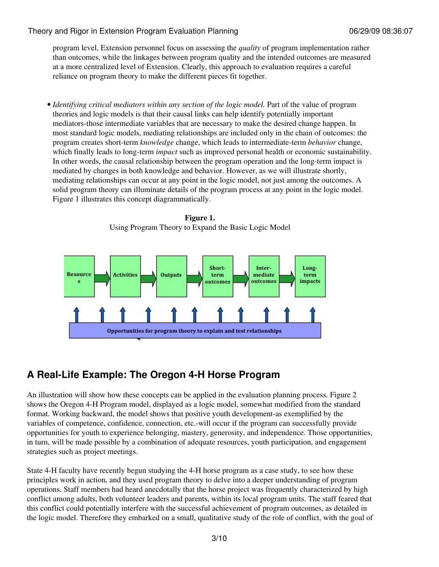#### Theory and Rigor in Extension Program Evaluation Planning 06/29/09 08:36:07

program level, Extension personnel focus on assessing the *quality* of program implementation rather than outcomes, while the linkages between program quality and the intended outcomes are measured at a more centralized level of Extension. Clearly, this approach to evaluation requires a careful reliance on program theory to make the different pieces fit together.

*Identifying critical mediators within any section of the logic model.* Part of the value of program • theories and logic models is that their causal links can help identify potentially important mediators-those intermediate variables that are necessary to make the desired change happen. In most standard logic models, mediating relationships are included only in the chain of outcomes: the program creates short-term *knowledge* change, which leads to intermediate-term *behavior* change, which finally leads to long-term *impact* such as improved personal health or economic sustainability. In other words, the causal relationship between the program operation and the long-term impact is mediated by changes in both knowledge and behavior. However, as we will illustrate shortly, mediating relationships can occur at any point in the logic model, not just among the outcomes. A solid program theory can illuminate details of the program process at any point in the logic model. Figure 1 illustrates this concept diagrammatically.





## **A Real-Life Example: The Oregon 4-H Horse Program**

An illustration will show how these concepts can be applied in the evaluation planning process. Figure 2 shows the Oregon 4-H Program model, displayed as a logic model, somewhat modified from the standard format. Working backward, the model shows that positive youth development-as exemplified by the variables of competence, confidence, connection, etc.-will occur if the program can successfully provide opportunities for youth to experience belonging, mastery, generosity, and independence. Those opportunities, in turn, will be made possible by a combination of adequate resources, youth participation, and engagement strategies such as project meetings.

State 4-H faculty have recently begun studying the 4-H horse program as a case study, to see how these principles work in action, and they used program theory to delve into a deeper understanding of program operations. Staff members had heard anecdotally that the horse project was frequently characterized by high conflict among adults, both volunteer leaders and parents, within its local program units. The staff feared that this conflict could potentially interfere with the successful achievement of program outcomes, as detailed in the logic model. Therefore they embarked on a small, qualitative study of the role of conflict, with the goal of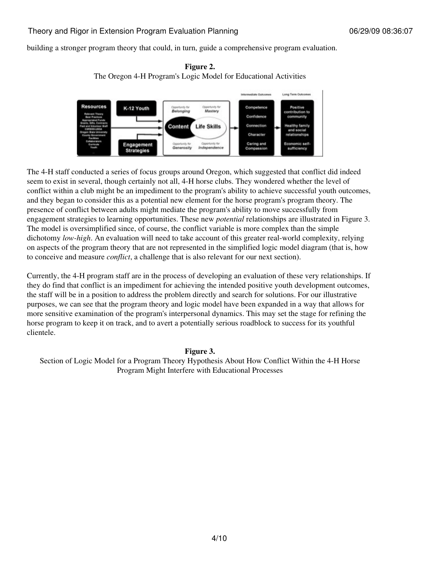building a stronger program theory that could, in turn, guide a comprehensive program evaluation.





The 4-H staff conducted a series of focus groups around Oregon, which suggested that conflict did indeed seem to exist in several, though certainly not all, 4-H horse clubs. They wondered whether the level of conflict within a club might be an impediment to the program's ability to achieve successful youth outcomes, and they began to consider this as a potential new element for the horse program's program theory. The presence of conflict between adults might mediate the program's ability to move successfully from engagement strategies to learning opportunities. These new *potential* relationships are illustrated in Figure 3. The model is oversimplified since, of course, the conflict variable is more complex than the simple dichotomy *low-high*. An evaluation will need to take account of this greater real-world complexity, relying on aspects of the program theory that are not represented in the simplified logic model diagram (that is, how to conceive and measure *conflict*, a challenge that is also relevant for our next section).

Currently, the 4-H program staff are in the process of developing an evaluation of these very relationships. If they do find that conflict is an impediment for achieving the intended positive youth development outcomes, the staff will be in a position to address the problem directly and search for solutions. For our illustrative purposes, we can see that the program theory and logic model have been expanded in a way that allows for more sensitive examination of the program's interpersonal dynamics. This may set the stage for refining the horse program to keep it on track, and to avert a potentially serious roadblock to success for its youthful clientele.

#### **Figure 3.**

Section of Logic Model for a Program Theory Hypothesis About How Conflict Within the 4-H Horse Program Might Interfere with Educational Processes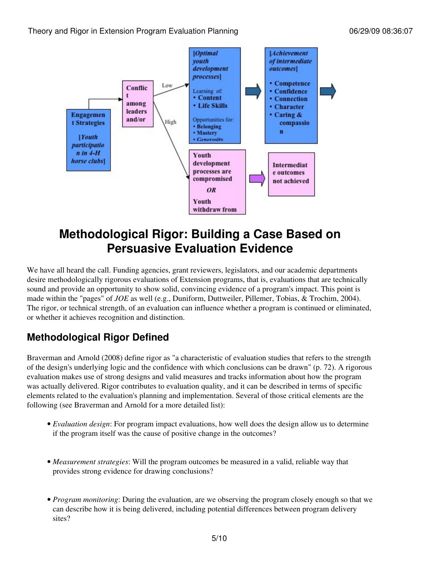

## **Methodological Rigor: Building a Case Based on Persuasive Evaluation Evidence**

We have all heard the call. Funding agencies, grant reviewers, legislators, and our academic departments desire methodologically rigorous evaluations of Extension programs, that is, evaluations that are technically sound and provide an opportunity to show solid, convincing evidence of a program's impact. This point is made within the "pages" of *JOE* as well (e.g., Duniform, Duttweiler, Pillemer, Tobias, & Trochim, 2004). The rigor, or technical strength, of an evaluation can influence whether a program is continued or eliminated, or whether it achieves recognition and distinction.

## **Methodological Rigor Defined**

Braverman and Arnold (2008) define rigor as "a characteristic of evaluation studies that refers to the strength of the design's underlying logic and the confidence with which conclusions can be drawn" (p. 72). A rigorous evaluation makes use of strong designs and valid measures and tracks information about how the program was actually delivered. Rigor contributes to evaluation quality, and it can be described in terms of specific elements related to the evaluation's planning and implementation. Several of those critical elements are the following (see Braverman and Arnold for a more detailed list):

- *Evaluation design*: For program impact evaluations, how well does the design allow us to determine if the program itself was the cause of positive change in the outcomes?
- *Measurement strategies*: Will the program outcomes be measured in a valid, reliable way that provides strong evidence for drawing conclusions?
- Program monitoring: During the evaluation, are we observing the program closely enough so that we can describe how it is being delivered, including potential differences between program delivery sites?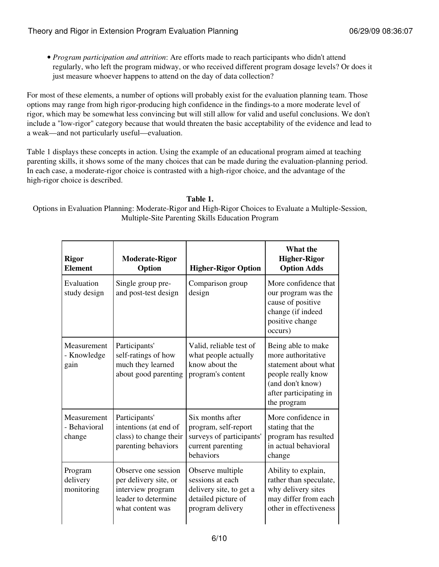*Program participation and attrition*: Are efforts made to reach participants who didn't attend • regularly, who left the program midway, or who received different program dosage levels? Or does it just measure whoever happens to attend on the day of data collection?

For most of these elements, a number of options will probably exist for the evaluation planning team. Those options may range from high rigor-producing high confidence in the findings-to a more moderate level of rigor, which may be somewhat less convincing but will still allow for valid and useful conclusions. We don't include a "low-rigor" category because that would threaten the basic acceptability of the evidence and lead to a weak—and not particularly useful—evaluation.

Table 1 displays these concepts in action. Using the example of an educational program aimed at teaching parenting skills, it shows some of the many choices that can be made during the evaluation-planning period. In each case, a moderate-rigor choice is contrasted with a high-rigor choice, and the advantage of the high-rigor choice is described.

#### **Table 1.**

Options in Evaluation Planning: Moderate-Rigor and High-Rigor Choices to Evaluate a Multiple-Session, Multiple-Site Parenting Skills Education Program

| <b>Rigor</b><br><b>Element</b>        | <b>Moderate-Rigor</b><br>Option                                                                              | <b>Higher-Rigor Option</b>                                                                                 | What the<br><b>Higher-Rigor</b><br><b>Option Adds</b>                                                                                               |
|---------------------------------------|--------------------------------------------------------------------------------------------------------------|------------------------------------------------------------------------------------------------------------|-----------------------------------------------------------------------------------------------------------------------------------------------------|
| Evaluation<br>study design            | Single group pre-<br>and post-test design                                                                    | Comparison group<br>design                                                                                 | More confidence that<br>our program was the<br>cause of positive<br>change (if indeed<br>positive change<br>occurs)                                 |
| Measurement<br>- Knowledge<br>gain    | Participants'<br>self-ratings of how<br>much they learned<br>about good parenting                            | Valid, reliable test of<br>what people actually<br>know about the<br>program's content                     | Being able to make<br>more authoritative<br>statement about what<br>people really know<br>(and don't know)<br>after participating in<br>the program |
| Measurement<br>- Behavioral<br>change | Participants'<br>intentions (at end of<br>class) to change their<br>parenting behaviors                      | Six months after<br>program, self-report<br>surveys of participants'<br>current parenting<br>behaviors     | More confidence in<br>stating that the<br>program has resulted<br>in actual behavioral<br>change                                                    |
| Program<br>delivery<br>monitoring     | Observe one session<br>per delivery site, or<br>interview program<br>leader to determine<br>what content was | Observe multiple<br>sessions at each<br>delivery site, to get a<br>detailed picture of<br>program delivery | Ability to explain,<br>rather than speculate,<br>why delivery sites<br>may differ from each<br>other in effectiveness                               |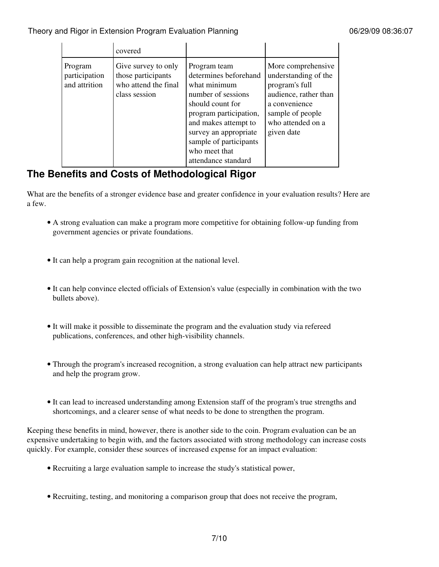|                                           | covered                                                                            |                                                                                                                                                                                                                                              |                                                                                                                                                               |
|-------------------------------------------|------------------------------------------------------------------------------------|----------------------------------------------------------------------------------------------------------------------------------------------------------------------------------------------------------------------------------------------|---------------------------------------------------------------------------------------------------------------------------------------------------------------|
| Program<br>participation<br>and attrition | Give survey to only<br>those participants<br>who attend the final<br>class session | Program team<br>determines beforehand<br>what minimum<br>number of sessions<br>should count for<br>program participation,<br>and makes attempt to<br>survey an appropriate<br>sample of participants<br>who meet that<br>attendance standard | More comprehensive<br>understanding of the<br>program's full<br>audience, rather than<br>a convenience<br>sample of people<br>who attended on a<br>given date |

## **The Benefits and Costs of Methodological Rigor**

What are the benefits of a stronger evidence base and greater confidence in your evaluation results? Here are a few.

- A strong evaluation can make a program more competitive for obtaining follow-up funding from government agencies or private foundations.
- It can help a program gain recognition at the national level.
- It can help convince elected officials of Extension's value (especially in combination with the two bullets above).
- It will make it possible to disseminate the program and the evaluation study via refereed publications, conferences, and other high-visibility channels.
- Through the program's increased recognition, a strong evaluation can help attract new participants and help the program grow.
- It can lead to increased understanding among Extension staff of the program's true strengths and shortcomings, and a clearer sense of what needs to be done to strengthen the program.

Keeping these benefits in mind, however, there is another side to the coin. Program evaluation can be an expensive undertaking to begin with, and the factors associated with strong methodology can increase costs quickly. For example, consider these sources of increased expense for an impact evaluation:

- Recruiting a large evaluation sample to increase the study's statistical power,
- Recruiting, testing, and monitoring a comparison group that does not receive the program,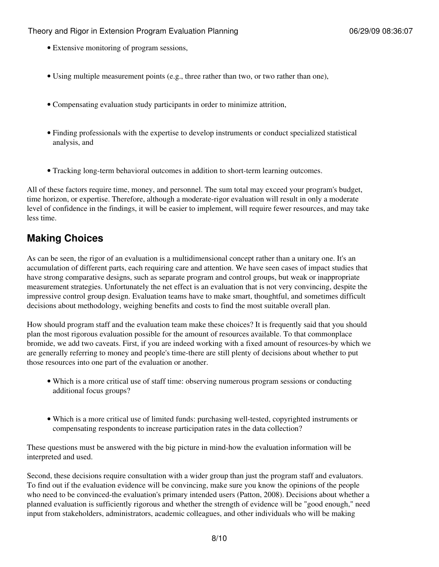- Extensive monitoring of program sessions,
- Using multiple measurement points (e.g., three rather than two, or two rather than one),
- Compensating evaluation study participants in order to minimize attrition,
- Finding professionals with the expertise to develop instruments or conduct specialized statistical analysis, and
- Tracking long-term behavioral outcomes in addition to short-term learning outcomes.

All of these factors require time, money, and personnel. The sum total may exceed your program's budget, time horizon, or expertise. Therefore, although a moderate-rigor evaluation will result in only a moderate level of confidence in the findings, it will be easier to implement, will require fewer resources, and may take less time.

### **Making Choices**

As can be seen, the rigor of an evaluation is a multidimensional concept rather than a unitary one. It's an accumulation of different parts, each requiring care and attention. We have seen cases of impact studies that have strong comparative designs, such as separate program and control groups, but weak or inappropriate measurement strategies. Unfortunately the net effect is an evaluation that is not very convincing, despite the impressive control group design. Evaluation teams have to make smart, thoughtful, and sometimes difficult decisions about methodology, weighing benefits and costs to find the most suitable overall plan.

How should program staff and the evaluation team make these choices? It is frequently said that you should plan the most rigorous evaluation possible for the amount of resources available. To that commonplace bromide, we add two caveats. First, if you are indeed working with a fixed amount of resources-by which we are generally referring to money and people's time-there are still plenty of decisions about whether to put those resources into one part of the evaluation or another.

- Which is a more critical use of staff time: observing numerous program sessions or conducting additional focus groups?
- Which is a more critical use of limited funds: purchasing well-tested, copyrighted instruments or compensating respondents to increase participation rates in the data collection?

These questions must be answered with the big picture in mind-how the evaluation information will be interpreted and used.

Second, these decisions require consultation with a wider group than just the program staff and evaluators. To find out if the evaluation evidence will be convincing, make sure you know the opinions of the people who need to be convinced-the evaluation's primary intended users (Patton, 2008). Decisions about whether a planned evaluation is sufficiently rigorous and whether the strength of evidence will be "good enough," need input from stakeholders, administrators, academic colleagues, and other individuals who will be making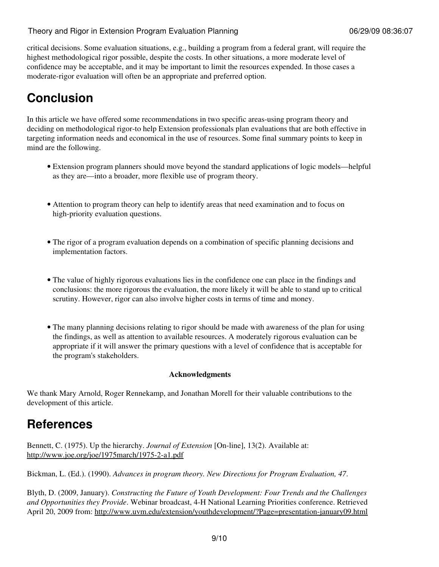critical decisions. Some evaluation situations, e.g., building a program from a federal grant, will require the highest methodological rigor possible, despite the costs. In other situations, a more moderate level of confidence may be acceptable, and it may be important to limit the resources expended. In those cases a moderate-rigor evaluation will often be an appropriate and preferred option.

# **Conclusion**

In this article we have offered some recommendations in two specific areas-using program theory and deciding on methodological rigor-to help Extension professionals plan evaluations that are both effective in targeting information needs and economical in the use of resources. Some final summary points to keep in mind are the following.

- Extension program planners should move beyond the standard applications of logic models—helpful as they are—into a broader, more flexible use of program theory.
- Attention to program theory can help to identify areas that need examination and to focus on high-priority evaluation questions.
- The rigor of a program evaluation depends on a combination of specific planning decisions and implementation factors.
- The value of highly rigorous evaluations lies in the confidence one can place in the findings and conclusions: the more rigorous the evaluation, the more likely it will be able to stand up to critical scrutiny. However, rigor can also involve higher costs in terms of time and money.
- The many planning decisions relating to rigor should be made with awareness of the plan for using the findings, as well as attention to available resources. A moderately rigorous evaluation can be appropriate if it will answer the primary questions with a level of confidence that is acceptable for the program's stakeholders.

#### **Acknowledgments**

We thank Mary Arnold, Roger Rennekamp, and Jonathan Morell for their valuable contributions to the development of this article.

## **References**

Bennett, C. (1975). Up the hierarchy. *Journal of Extension* [On-line], 13(2). Available at: <http://www.joe.org/joe/1975march/1975-2-a1.pdf>

Bickman, L. (Ed.). (1990). *Advances in program theory. New Directions for Program Evaluation, 47*.

Blyth, D. (2009, January). *Constructing the Future of Youth Development: Four Trends and the Challenges and Opportunities they Provide*. Webinar broadcast, 4-H National Learning Priorities conference. Retrieved April 20, 2009 from:<http://www.uvm.edu/extension/youthdevelopment/?Page=presentation-january09.html>